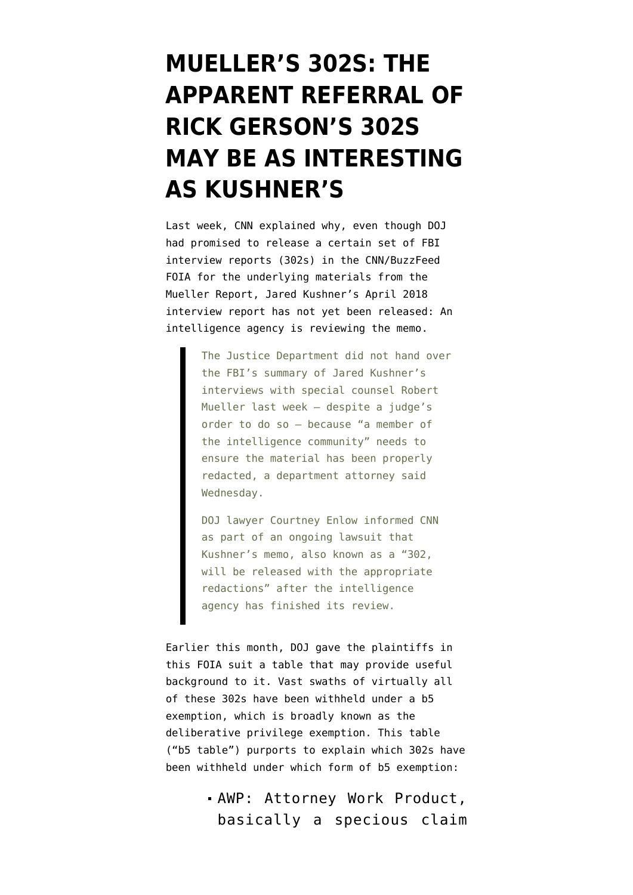# **[MUELLER'S 302S: THE](https://www.emptywheel.net/2020/01/27/muellers-302s-the-apparent-referral-of-rick-gersons-302s-may-be-as-interesting-than-kushners/) [APPARENT REFERRAL OF](https://www.emptywheel.net/2020/01/27/muellers-302s-the-apparent-referral-of-rick-gersons-302s-may-be-as-interesting-than-kushners/) [RICK GERSON'S 302S](https://www.emptywheel.net/2020/01/27/muellers-302s-the-apparent-referral-of-rick-gersons-302s-may-be-as-interesting-than-kushners/) [MAY BE AS INTERESTING](https://www.emptywheel.net/2020/01/27/muellers-302s-the-apparent-referral-of-rick-gersons-302s-may-be-as-interesting-than-kushners/) [AS KUSHNER'S](https://www.emptywheel.net/2020/01/27/muellers-302s-the-apparent-referral-of-rick-gersons-302s-may-be-as-interesting-than-kushners/)**

Last week, [CNN explained why](https://www.cnn.com/2020/01/22/politics/kushner-documents-fbi/index.html), even though DOJ had promised to release a certain set of FBI interview reports (302s) in the CNN/BuzzFeed FOIA for the underlying materials from the Mueller Report, Jared Kushner's April 2018 interview report has not yet been released: An intelligence agency is reviewing the memo.

> The Justice Department did not hand over the FBI's summary of Jared Kushner's interviews with special counsel Robert Mueller last week — despite a judge's order to do so — because "a member of the intelligence community" needs to ensure the material has been properly redacted, a department attorney said Wednesday.

DOJ lawyer Courtney Enlow informed CNN as part of an ongoing lawsuit that Kushner's memo, also known as a "302, will be released with the appropriate redactions" after the intelligence agency has finished its review.

Earlier this month, DOJ gave the plaintiffs in this FOIA suit [a table](https://www.documentcloud.org/documents/6672195-200113-Mueller-Interview-List-of-b5-Withholdings.html) that may provide useful background to it. Vast swaths of virtually all of these 302s have been withheld under a b5 exemption, which is broadly known as the deliberative privilege exemption. [This table](https://www.documentcloud.org/documents/6672195-200113-Mueller-Interview-List-of-b5-Withholdings.html) ("b5 table") purports to explain which 302s have been withheld under which form of b5 exemption:

> AWP: Attorney Work Product, basically a specious claim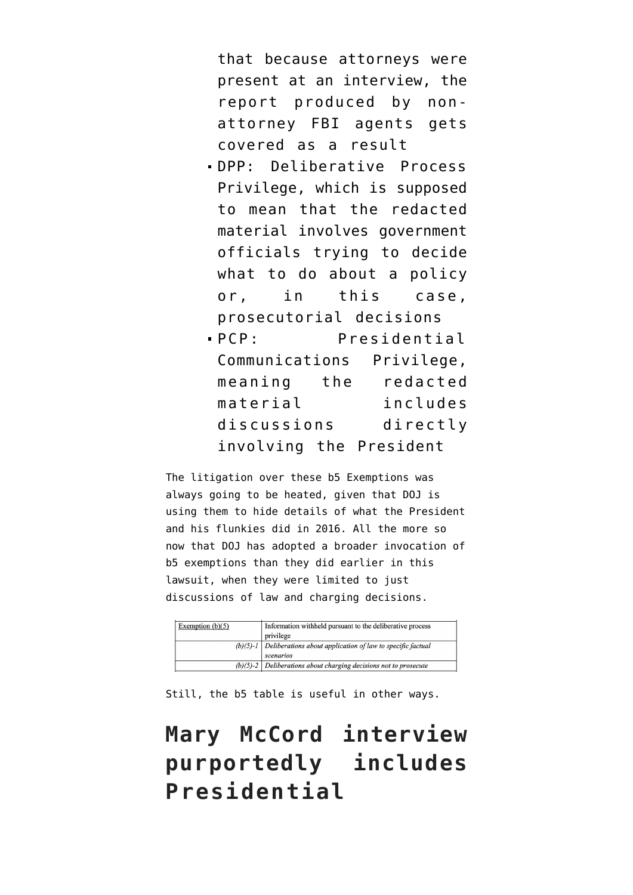that because attorneys were present at an interview, the report produced by nonattorney FBI agents gets covered as a result

- DPP: Deliberative Process Privilege, which is supposed to mean that the redacted material involves government officials trying to decide what to do about a policy or, in this case, prosecutorial decisions
- PCP: Presidential Communications Privilege, meaning the redacted material includes discussions directly involving the President

The litigation over these b5 Exemptions was always going to be heated, given that DOJ is using them to hide details of what the President and his flunkies did in 2016. All the more so now that DOJ has adopted a broader invocation of b5 exemptions than [they did earlier in this](https://assets.documentcloud.org/documents/6129265/BuzzFeed-EPIC-Mueller-Report-FOIA-Govt-Response.pdf) [lawsuit,](https://assets.documentcloud.org/documents/6129265/BuzzFeed-EPIC-Mueller-Report-FOIA-Govt-Response.pdf) when they were limited to just discussions of law and charging decisions.

| Exemption $(b)(5)$ | Information withheld pursuant to the deliberative process             |
|--------------------|-----------------------------------------------------------------------|
|                    | privilege                                                             |
|                    | $(b)(5)-1$ Deliberations about application of law to specific factual |
|                    | scenarios                                                             |
|                    | $(b)(5)-2$ Deliberations about charging decisions not to prosecute    |

Still, the b5 table is useful in other ways.

**Mary McCord interview purportedly includes Presidential**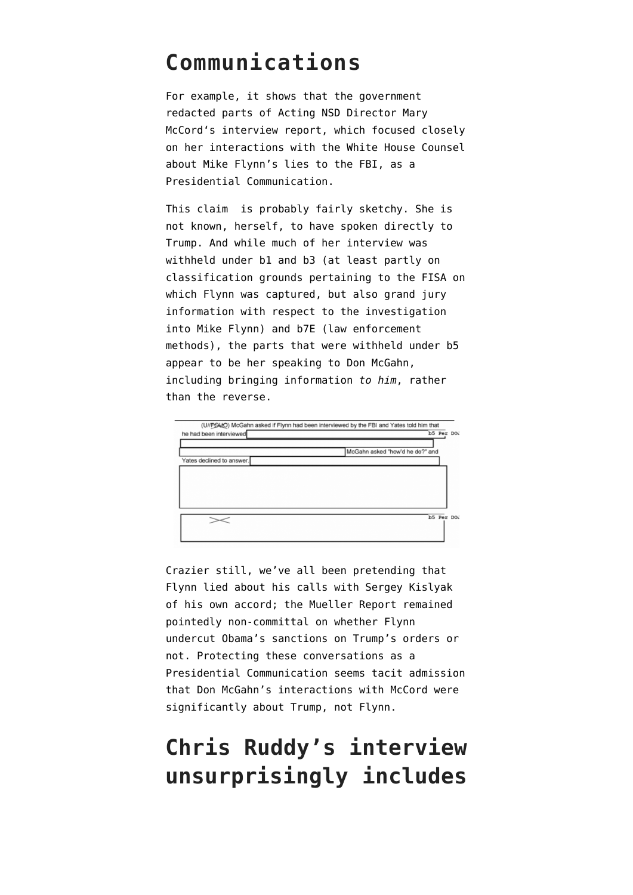#### **Communications**

For example, it shows that the government redacted parts of Acting NSD Director [Mary](https://www.documentcloud.org/documents/6596822-Corsi-302.html#document/p145/a543175) [McCord](https://www.documentcloud.org/documents/6596822-Corsi-302.html#document/p145/a543175)'s interview report, which focused closely on her interactions with the White House Counsel about Mike Flynn's lies to the FBI, as a Presidential Communication.

This claim is probably fairly sketchy. She is not known, herself, to have spoken directly to Trump. And while much of her interview was withheld under b1 and b3 (at least partly on classification grounds pertaining to the FISA on which Flynn was captured, but also grand jury information with respect to the investigation into Mike Flynn) and b7E (law enforcement methods), the parts that were withheld under b5 appear to be her speaking to Don McGahn, including bringing information *to him*, rather than the reverse.



Crazier still, we've all been pretending that Flynn lied about his calls with Sergey Kislyak of his own accord; the Mueller Report remained [pointedly non-committal](https://www.emptywheel.net/2019/05/05/why-didnt-mueller-hold-suspected-russian-target-mike-flynn-responsible-for-sanctions-call/) on whether Flynn undercut Obama's sanctions on Trump's orders or not. Protecting these conversations as a Presidential Communication seems tacit admission that Don McGahn's interactions with McCord were significantly about Trump, not Flynn.

## **Chris Ruddy's interview unsurprisingly includes**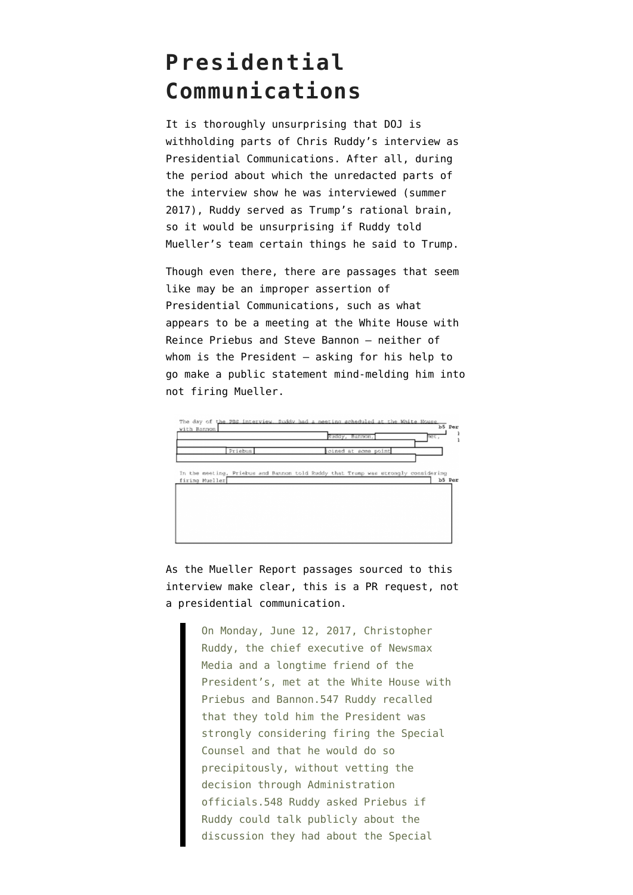### **Presidential Communications**

It is thoroughly unsurprising that DOJ is withholding parts of [Chris Ruddy's interview](https://www.documentcloud.org/documents/6596807-3rd-Mueller-Document-FOIA-Release.html#document/p58/a542410) as Presidential Communications. After all, during the period about which the unredacted parts of the interview show he was interviewed (summer 2017), Ruddy served as Trump's rational brain, so it would be unsurprising if Ruddy told Mueller's team certain things he said to Trump.

Though even there, there are passages that seem like may be an improper assertion of Presidential Communications, such as what appears to be a meeting at the White House with Reince Priebus and Steve Bannon — neither of whom is the President — asking for his help to go make a public statement mind-melding him into not firing Mueller.



As the [Mueller Report passages](https://assets.documentcloud.org/documents/6002293/190322-Redacted-Mueller-Report.pdf) sourced to this interview make clear, this is a PR request, not a presidential communication.

> On Monday, June 12, 2017, Christopher Ruddy, the chief executive of Newsmax Media and a longtime friend of the President's, met at the White House with Priebus and Bannon.547 Ruddy recalled that they told him the President was strongly considering firing the Special Counsel and that he would do so precipitously, without vetting the decision through Administration officials.548 Ruddy asked Priebus if Ruddy could talk publicly about the discussion they had about the Special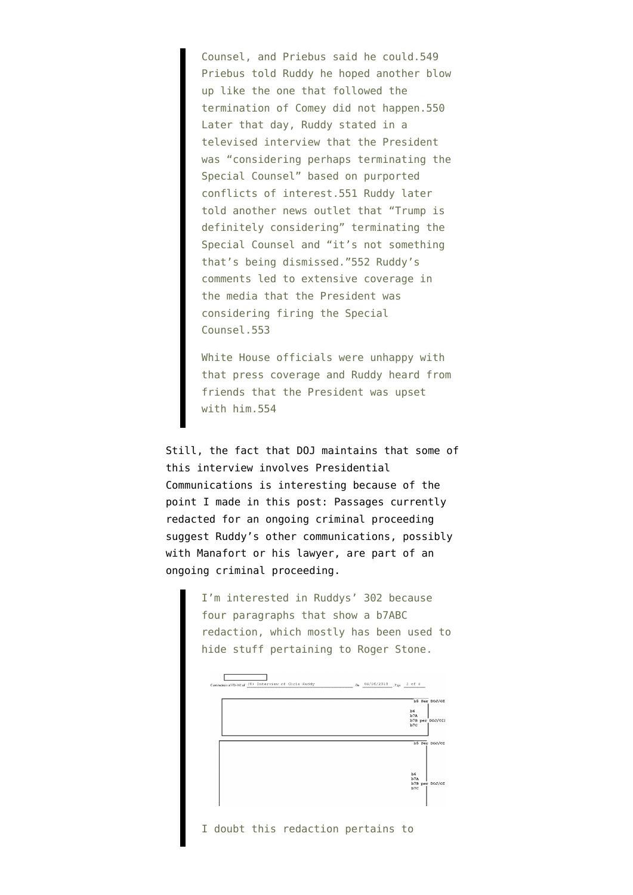Counsel, and Priebus said he could.549 Priebus told Ruddy he hoped another blow up like the one that followed the termination of Comey did not happen.550 Later that day, Ruddy stated in a televised interview that the President was "considering perhaps terminating the Special Counsel" based on purported conflicts of interest.551 Ruddy later told another news outlet that "Trump is definitely considering" terminating the Special Counsel and "it's not something that's being dismissed."552 Ruddy's comments led to extensive coverage in the media that the President was considering firing the Special Counsel.553

White House officials were unhappy with that press coverage and Ruddy heard from friends that the President was upset with him.554

Still, the fact that DOJ maintains that some of this interview involves Presidential Communications is interesting because of the point I made [in this post:](https://www.emptywheel.net/2020/01/03/was-chris-ruddy-a-second-back-channel-between-manafort-and-trump/) Passages currently redacted for an ongoing criminal proceeding suggest Ruddy's other communications, possibly with Manafort or his lawyer, are part of an ongoing criminal proceeding.

> I'm interested in Ruddys' 302 because four paragraphs that show a b7ABC redaction, which mostly has been used to hide stuff pertaining to Roger Stone.



I doubt this redaction pertains to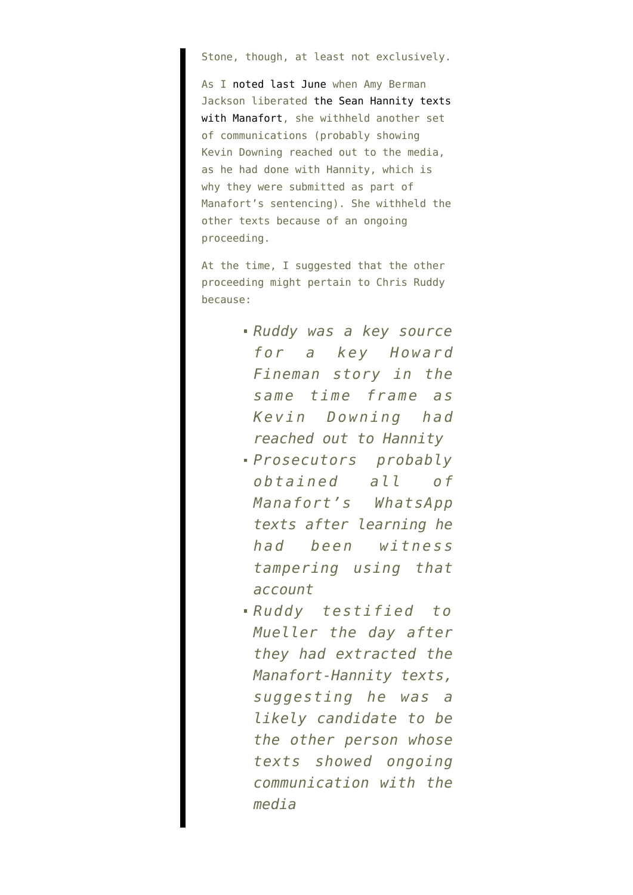Stone, though, at least not exclusively.

As I [noted last June](https://www.emptywheel.net/2019/06/22/the-ongoing-proceeding-into-paul-manaforts-kevin-downing-related-texts/) when Amy Berman Jackson liberated [the Sean Hannity texts](https://www.documentcloud.org/documents/6165133-Hannity-Manafort-Texts.html) [with Manafort,](https://www.documentcloud.org/documents/6165133-Hannity-Manafort-Texts.html) she withheld another set of communications (probably showing Kevin Downing reached out to the media, as he had done with Hannity, which is why they were submitted as part of Manafort's sentencing). She withheld the other texts because of an ongoing proceeding.

At the time, I suggested that the other proceeding might pertain to Chris Ruddy because:

- *Ruddy was a key source for a key Howard Fineman story in the same time frame as Kevin Downing had reached out to Hannity*
- *Prosecutors probably obtained all of Manafort's WhatsApp texts after learning he had been witness tampering using that account*
- *Ruddy testified to Mueller the day after they had extracted the Manafort-Hannity texts, suggesting he was a likely candidate to be the other person whose texts showed ongoing communication with the media*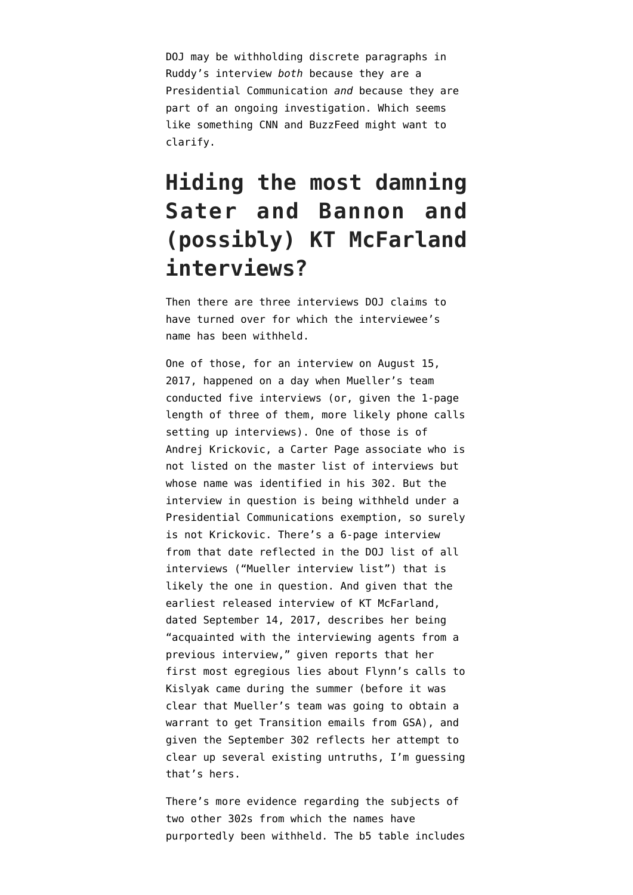DOJ may be withholding discrete paragraphs in Ruddy's interview *both* because they are a Presidential Communication *and* because they are part of an ongoing investigation. Which seems like something CNN and BuzzFeed might want to clarify.

### **Hiding the most damning Sater and Bannon and (possibly) KT McFarland interviews?**

Then there are three interviews DOJ claims to have turned over for which the interviewee's name has been withheld.

One of those, for an interview on August 15, 2017, happened on a day when Mueller's team conducted five interviews (or, given the 1-page length of three of them, more likely phone calls setting up interviews). One of those is of Andrej Krickovic, a Carter Page associate who is not listed on the master list of interviews but whose name was identified [in his 302](https://www.documentcloud.org/documents/6660421-4th-Mueller-Document-FOIA-Response.html#document/p44/a544388). But the interview in question is being withheld under a Presidential Communications exemption, so surely is not Krickovic. There's a 6-page interview from that date reflected in the DOJ list of all interviews [\("Mueller interview list"](https://www.documentcloud.org/documents/6661838-200103-Mueller-Interview-List.html)) that is likely the one in question. And given that the earliest released interview of KT McFarland, [dated September 14, 2017,](https://www.documentcloud.org/documents/6596807-3rd-Mueller-Document-FOIA-Release.html#document/p247/a542439) describes her being "acquainted with the interviewing agents from a previous interview," given [reports](https://www.washingtonpost.com/world/national-security/former-top-white-house-official-revises-statement-to-special-counsel-about-flynns-calls-with-russian-ambassador/2018/09/21/77bb8a7e-bb50-11e8-bdc0-90f81cc58c5d_story.html) that her first most egregious lies about Flynn's calls to Kislyak came during the summer (before it was clear that Mueller's team was going to obtain a warrant to get Transition emails from GSA), and given the September 302 reflects her attempt to clear up several existing untruths, I'm guessing that's hers.

There's more evidence regarding the subjects of two other 302s from which the names have purportedly been withheld. The b5 table includes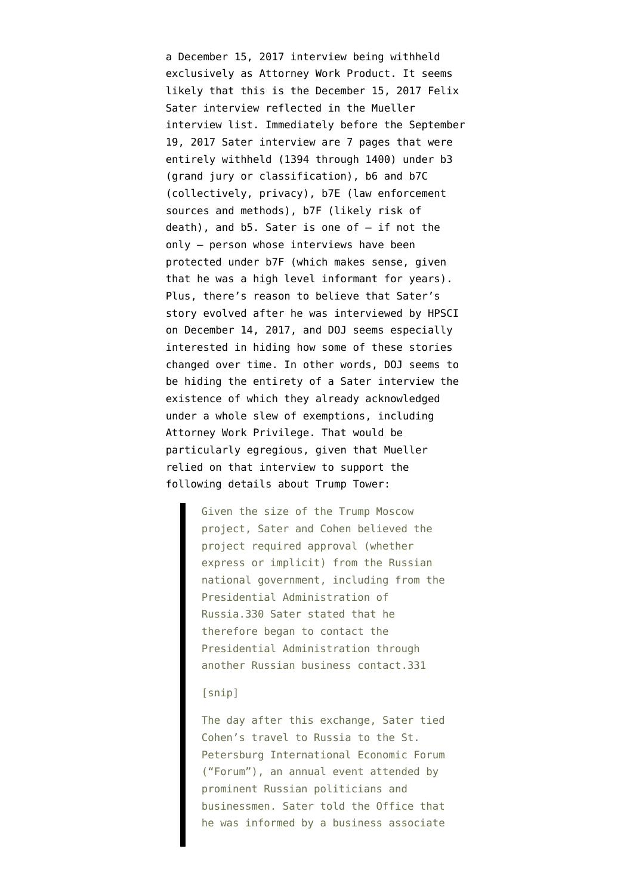a December 15, 2017 interview being withheld exclusively as Attorney Work Product. It seems likely that this is the December 15, 2017 Felix Sater interview reflected in the Mueller interview list. Immediately before the [September](https://www.documentcloud.org/documents/6596807-3rd-Mueller-Document-FOIA-Release.html#document/p318/a542444) [19, 2017 Sater interview](https://www.documentcloud.org/documents/6596807-3rd-Mueller-Document-FOIA-Release.html#document/p318/a542444) are 7 pages that were entirely withheld [\(1394 through 1400](https://www.documentcloud.org/documents/6596807-3rd-Mueller-Document-FOIA-Release.html#document/p7/a546455)) under b3 (grand jury or classification), b6 and b7C (collectively, privacy), b7E (law enforcement sources and methods), b7F (likely risk of death), and b5. Sater is one of — if not the only — person whose interviews have been protected under b7F (which makes sense, given that he was a high level informant for years). Plus, there's [reason to believe](https://www.emptywheel.net/2018/12/07/michael-cohen-and-felix-saters-evolving-cooperation-against-trump/) that Sater's story evolved after he was interviewed by HPSCI on December 14, 2017, and DOJ seems especially interested in hiding how some of these stories changed over time. In other words, DOJ seems to be hiding the entirety of a Sater interview the existence of which they already acknowledged under a whole slew of exemptions, including Attorney Work Privilege. That would be particularly egregious, given that Mueller relied on that interview to support the following details about Trump Tower:

> Given the size of the Trump Moscow project, Sater and Cohen believed the project required approval (whether express or implicit) from the Russian national government, including from the Presidential Administration of Russia.330 Sater stated that he therefore began to contact the Presidential Administration through another Russian business contact.331

#### [snip]

The day after this exchange, Sater tied Cohen's travel to Russia to the St. Petersburg International Economic Forum ("Forum"), an annual event attended by prominent Russian politicians and businessmen. Sater told the Office that he was informed by a business associate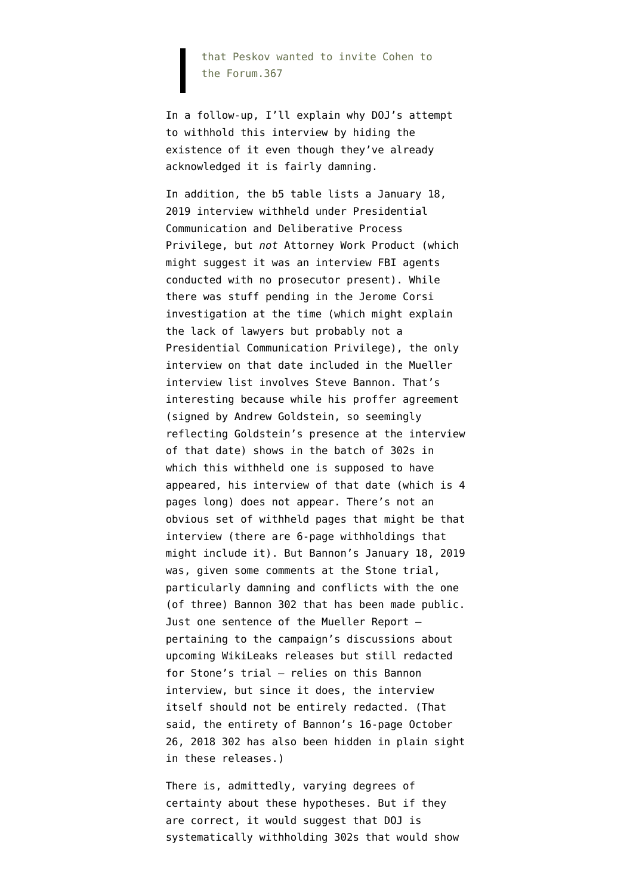that Peskov wanted to invite Cohen to the Forum.367

In a follow-up, I'll explain why DOJ's attempt to withhold this interview by hiding the existence of it even though they've already acknowledged it is fairly damning.

In addition, the b5 table lists a January 18, 2019 interview withheld under Presidential Communication and Deliberative Process Privilege, but *not* Attorney Work Product (which might suggest it was an interview FBI agents conducted with no prosecutor present). While there was stuff pending in the Jerome Corsi investigation at the time (which might explain the lack of lawyers but probably not a Presidential Communication Privilege), the only interview on that date included in the Mueller interview list involves Steve Bannon. That's interesting because while [his proffer agreement](https://www.documentcloud.org/documents/6596822-Corsi-302.html#document/p252/a543258) (signed by Andrew Goldstein, so seemingly reflecting Goldstein's presence at the interview of that date) shows in the batch of 302s in which this withheld one is supposed to have appeared, his interview of that date (which is 4 pages long) does not appear. There's not an obvious set of withheld pages that might be that interview (there are 6-page withholdings that might include it). But Bannon's January 18, 2019 was, given some comments at the Stone trial, particularly damning and conflicts with [the one](https://www.emptywheel.net/2020/01/10/steve-bannons-302-of-laughter-and-forgetting/) [\(of three\) Bannon 302](https://www.emptywheel.net/2020/01/10/steve-bannons-302-of-laughter-and-forgetting/) that has been made public. Just one sentence of the Mueller Report pertaining to the campaign's discussions about upcoming WikiLeaks releases but still redacted for Stone's trial — relies on this Bannon interview, but since it does, the interview itself should not be entirely redacted. (That said, the entirety of Bannon's 16-page October 26, 2018 302 has also been hidden in plain sight in these releases.)

There is, admittedly, varying degrees of certainty about these hypotheses. But if they are correct, it would suggest that DOJ is systematically withholding 302s that would show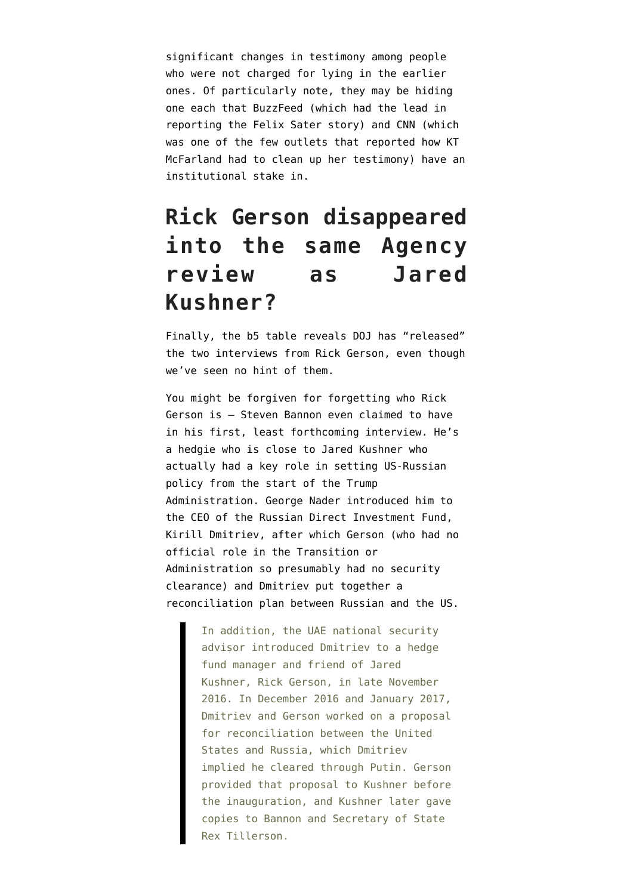significant changes in testimony among people who were not charged for lying in the earlier ones. Of particularly note, they may be hiding one each that BuzzFeed (which had the lead in reporting the Felix Sater story) and CNN (which was one of the few outlets that reported how KT McFarland had to clean up her testimony) have an institutional stake in.

### **Rick Gerson disappeared into the same Agency review as Jared Kushner?**

Finally, the b5 table reveals DOJ has "released" the two interviews from Rick Gerson, even though we've seen no hint of them.

You might be forgiven for forgetting who Rick Gerson is — Steven Bannon even claimed to have in his first, least forthcoming interview. He's a hedgie who is close to Jared Kushner who actually had a key role in setting US-Russian policy from the start of the Trump Administration. George Nader introduced him to the CEO of the Russian Direct Investment Fund, Kirill Dmitriev, after which Gerson (who had no official role in the Transition or Administration so presumably had no security clearance) and Dmitriev put together a reconciliation plan between Russian and the US.

> In addition, the UAE national security advisor introduced Dmitriev to a hedge fund manager and friend of Jared Kushner, Rick Gerson, in late November 2016. In December 2016 and January 2017, Dmitriev and Gerson worked on a proposal for reconciliation between the United States and Russia, which Dmitriev implied he cleared through Putin. Gerson provided that proposal to Kushner before the inauguration, and Kushner later gave copies to Bannon and Secretary of State Rex Tillerson.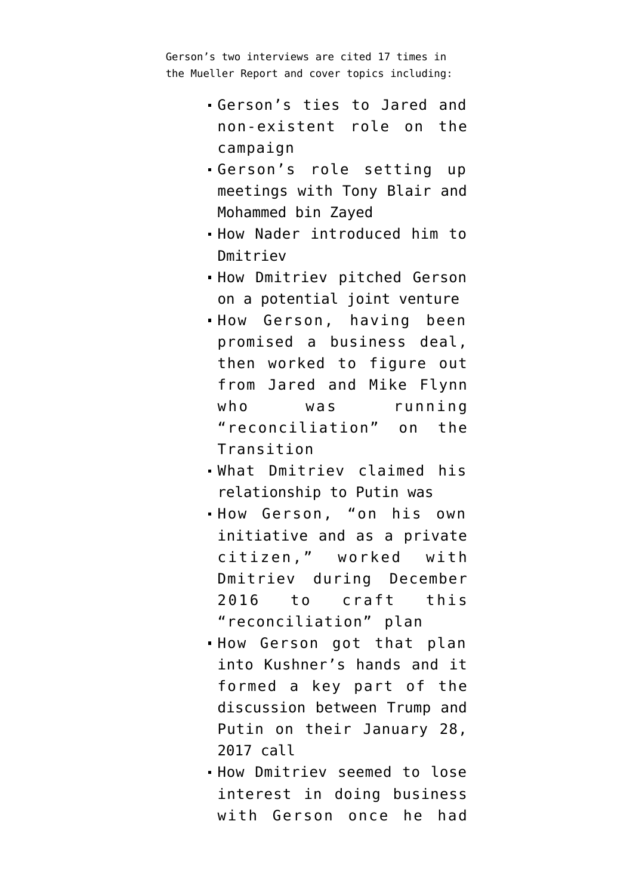Gerson's two interviews are cited 17 times in the Mueller Report and cover topics including:

- Gerson's ties to Jared and non-existent role on the campaign
- Gerson's role setting up meetings with Tony Blair and Mohammed bin Zayed
- How Nader introduced him to Dmitriev
- How Dmitriev pitched Gerson on a potential joint venture
- How Gerson, having been promised a business deal, then worked to figure out from Jared and Mike Flynn who was running "reconciliation" on the Transition
- What Dmitriev claimed his relationship to Putin was
- How Gerson, "on his own initiative and as a private citizen," worked with Dmitriev during December 2016 to craft this "reconciliation" plan
- .How Gerson got that plan into Kushner's hands and it formed a key part of the discussion between Trump and Putin on their January 28, 2017 call
- How Dmitriev seemed to lose interest in doing business with Gerson once he had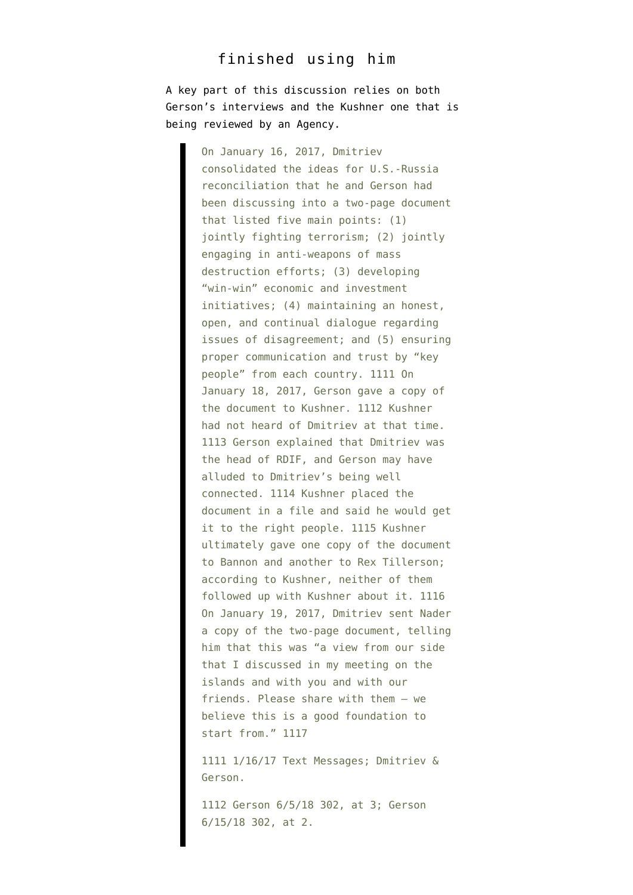#### finished using him

A key part of this discussion relies on both Gerson's interviews and the Kushner one that is being reviewed by an Agency.

> On January 16, 2017, Dmitriev consolidated the ideas for U.S.-Russia reconciliation that he and Gerson had been discussing into a two-page document that listed five main points: (1) jointly fighting terrorism; (2) jointly engaging in anti-weapons of mass destruction efforts; (3) developing "win-win" economic and investment initiatives; (4) maintaining an honest, open, and continual dialogue regarding issues of disagreement; and (5) ensuring proper communication and trust by "key people" from each country. 1111 On January 18, 2017, Gerson gave a copy of the document to Kushner. 1112 Kushner had not heard of Dmitriev at that time. 1113 Gerson explained that Dmitriev was the head of RDIF, and Gerson may have alluded to Dmitriev's being well connected. 1114 Kushner placed the document in a file and said he would get it to the right people. 1115 Kushner ultimately gave one copy of the document to Bannon and another to Rex Tillerson; according to Kushner, neither of them followed up with Kushner about it. 1116 On January 19, 2017, Dmitriev sent Nader a copy of the two-page document, telling him that this was "a view from our side that I discussed in my meeting on the islands and with you and with our friends. Please share with them – we believe this is a good foundation to start from." 1117

1111 1/16/17 Text Messages; Dmitriev & Gerson.

1112 Gerson 6/5/18 302, at 3; Gerson 6/15/18 302, at 2.